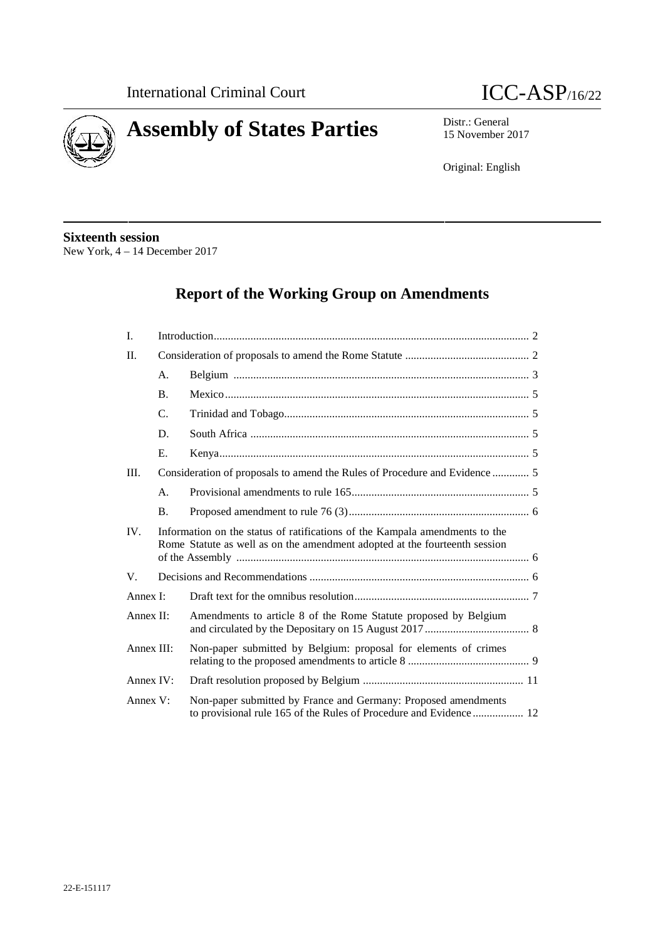



15 November 2017

Original: English

# **Sixteenth session**

New York, 4 – 14 December 2017

# **Report of the Working Group on Amendments**

| I.         |                |                                                                                                                                                           |  |  |
|------------|----------------|-----------------------------------------------------------------------------------------------------------------------------------------------------------|--|--|
| II.        |                |                                                                                                                                                           |  |  |
|            | A.             |                                                                                                                                                           |  |  |
|            | <b>B.</b>      |                                                                                                                                                           |  |  |
|            | C.             |                                                                                                                                                           |  |  |
|            | D.             |                                                                                                                                                           |  |  |
|            | Ε.             |                                                                                                                                                           |  |  |
| III.       |                |                                                                                                                                                           |  |  |
|            | $\mathsf{A}$ . |                                                                                                                                                           |  |  |
|            | <b>B.</b>      |                                                                                                                                                           |  |  |
| IV.        |                | Information on the status of ratifications of the Kampala amendments to the<br>Rome Statute as well as on the amendment adopted at the fourteenth session |  |  |
| V.         |                |                                                                                                                                                           |  |  |
| Annex I:   |                |                                                                                                                                                           |  |  |
| Annex II:  |                | Amendments to article 8 of the Rome Statute proposed by Belgium                                                                                           |  |  |
| Annex III: |                | Non-paper submitted by Belgium: proposal for elements of crimes                                                                                           |  |  |
| Annex IV:  |                |                                                                                                                                                           |  |  |
| Annex V:   |                | Non-paper submitted by France and Germany: Proposed amendments<br>to provisional rule 165 of the Rules of Procedure and Evidence 12                       |  |  |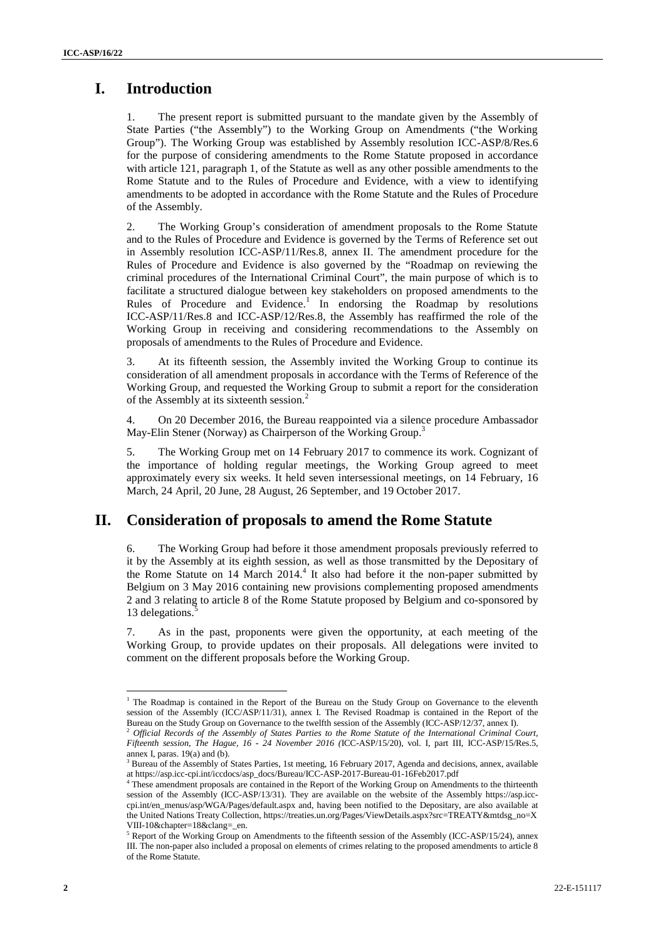# **I. Introduction**

1. The present report is submitted pursuant to the mandate given by the Assembly of State Parties ("the Assembly") to the Working Group on Amendments ("the Working Group"). The Working Group was established by Assembly resolution ICC-ASP/8/Res.6 for the purpose of considering amendments to the Rome Statute proposed in accordance with article 121, paragraph 1, of the Statute as well as any other possible amendments to the Rome Statute and to the Rules of Procedure and Evidence, with a view to identifying amendments to be adopted in accordance with the Rome Statute and the Rules of Procedure of the Assembly.

2. The Working Group's consideration of amendment proposals to the Rome Statute and to the Rules of Procedure and Evidence is governed by the Terms of Reference set out in Assembly resolution ICC-ASP/11/Res.8, annex II. The amendment procedure for the Rules of Procedure and Evidence is also governed by the "Roadmap on reviewing the criminal procedures of the International Criminal Court", the main purpose of which is to facilitate a structured dialogue between key stakeholders on proposed amendments to the Rules of Procedure and Evidence.<sup>1</sup> In endorsing the Roadmap by resolutions ICC-ASP/11/Res.8 and ICC-ASP/12/Res.8, the Assembly has reaffirmed the role of the Working Group in receiving and considering recommendations to the Assembly on proposals of amendments to the Rules of Procedure and Evidence.

3. At its fifteenth session, the Assembly invited the Working Group to continue its consideration of all amendment proposals in accordance with the Terms of Reference of the Working Group, and requested the Working Group to submit a report for the consideration of the Assembly at its sixteenth session.<sup>2</sup>

4. On 20 December 2016, the Bureau reappointed via a silence procedure Ambassador May-Elin Stener (Norway) as Chairperson of the Working Group.<sup>3</sup>

5. The Working Group met on 14 February 2017 to commence its work. Cognizant of the importance of holding regular meetings, the Working Group agreed to meet approximately every six weeks. It held seven intersessional meetings, on 14 February, 16 March, 24 April, 20 June, 28 August, 26 September, and 19 October 2017.

# **II. Consideration of proposals to amend the Rome Statute**

6. The Working Group had before it those amendment proposals previously referred to it by the Assembly at its eighth session, as well as those transmitted by the Depositary of the Rome Statute on 14 March  $2014<sup>4</sup>$ . It also had before it the non-paper submitted by Belgium on 3 May 2016 containing new provisions complementing proposed amendments 2 and 3 relating to article 8 of the Rome Statute proposed by Belgium and co-sponsored by 13 delegations.

7. As in the past, proponents were given the opportunity, at each meeting of the Working Group, to provide updates on their proposals. All delegations were invited to comment on the different proposals before the Working Group.

<sup>&</sup>lt;sup>1</sup> The Roadmap is contained in the Report of the Bureau on the Study Group on Governance to the eleventh session of the Assembly (ICC/ASP/11/31), annex I. The Revised Roadmap is contained in the Report of the

Bureau on the Study Group on Governance to the twelfth session of the Assembly (ICC-ASP/12/37, annex I). <sup>2</sup> *Official Records of the Assembly of States Parties to the Rome Statute of the International Criminal Court, Fifteenth session, The Hague, 16 - 24 November 2016 (*ICC-ASP/15/20), vol. I, part III, ICC-ASP/15/Res.5,

annex I, paras. 19(a) and (b).<br> $3$  Bureau of the Assembly of States Parties, 1st meeting, 16 February 2017, Agenda and decisions, annex, available at https://asp.icc-cpi.int/iccdocs/asp\_docs/Bureau/ICC-ASP-2017-Bureau-01-16Feb2017.pdf<br>
<sup>4</sup> These currents

These amendment proposals are contained in the Report of the Working Group on Amendments to the thirteenth session of the Assembly (ICC-ASP/13/31). They are available on the website of the Assembly https://asp.icc cpi.int/en\_menus/asp/WGA/Pages/default.aspx and, having been notified to the Depositary, are also available at the United Nations Treaty Collection, https://treaties.un.org/Pages/ViewDetails.aspx?src=TREATY&mtdsg\_no=X VIII-10&chapter=18&clang=\_en.

<sup>5</sup> Report of the Working Group on Amendments to the fifteenth session of the Assembly (ICC-ASP/15/24), annex III. The non-paper also included a proposal on elements of crimes relating to the proposed amendments to article 8 of the Rome Statute.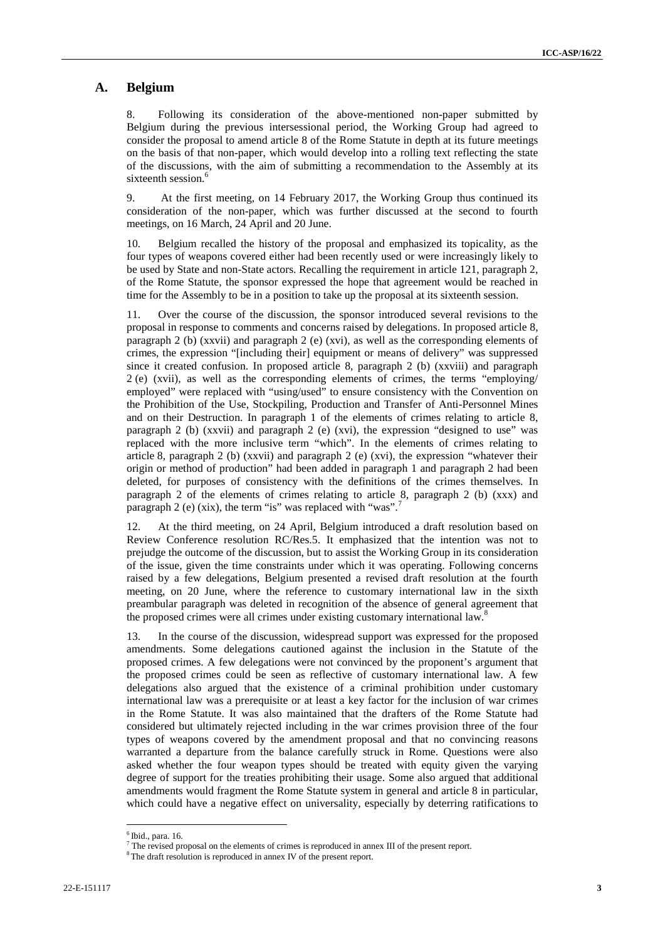### **A. Belgium**

8. Following its consideration of the above-mentioned non-paper submitted by Belgium during the previous intersessional period, the Working Group had agreed to consider the proposal to amend article 8 of the Rome Statute in depth at its future meetings on the basis of that non-paper, which would develop into a rolling text reflecting the state of the discussions, with the aim of submitting a recommendation to the Assembly at its sixteenth session.<sup>6</sup>

9. At the first meeting, on 14 February 2017, the Working Group thus continued its consideration of the non-paper, which was further discussed at the second to fourth meetings, on 16 March, 24 April and 20 June.

10. Belgium recalled the history of the proposal and emphasized its topicality, as the four types of weapons covered either had been recently used or were increasingly likely to be used by State and non-State actors. Recalling the requirement in article 121, paragraph 2, of the Rome Statute, the sponsor expressed the hope that agreement would be reached in time for the Assembly to be in a position to take up the proposal at its sixteenth session.

11. Over the course of the discussion, the sponsor introduced several revisions to the proposal in response to comments and concerns raised by delegations. In proposed article 8, paragraph 2 (b) (xxvii) and paragraph 2 (e) (xvi), as well as the corresponding elements of crimes, the expression "[including their] equipment or means of delivery" was suppressed since it created confusion. In proposed article 8, paragraph 2 (b) (xxviii) and paragraph 2 (e) (xvii), as well as the corresponding elements of crimes, the terms "employing/ employed" were replaced with "using/used" to ensure consistency with the Convention on the Prohibition of the Use, Stockpiling, Production and Transfer of Anti-Personnel Mines and on their Destruction. In paragraph 1 of the elements of crimes relating to article 8, paragraph 2 (b) (xxvii) and paragraph 2 (e) (xvi), the expression "designed to use" was replaced with the more inclusive term "which". In the elements of crimes relating to article 8, paragraph 2 (b) (xxvii) and paragraph 2 (e) (xvi), the expression "whatever their origin or method of production" had been added in paragraph 1 and paragraph 2 had been deleted, for purposes of consistency with the definitions of the crimes themselves. In paragraph 2 of the elements of crimes relating to article 8, paragraph 2 (b) (xxx) and paragraph 2 (e) (xix), the term "is" was replaced with "was".<sup>7</sup>

12. At the third meeting, on 24 April, Belgium introduced a draft resolution based on Review Conference resolution RC/Res.5. It emphasized that the intention was not to prejudge the outcome of the discussion, but to assist the Working Group in its consideration of the issue, given the time constraints under which it was operating. Following concerns raised by a few delegations, Belgium presented a revised draft resolution at the fourth meeting, on 20 June, where the reference to customary international law in the sixth preambular paragraph was deleted in recognition of the absence of general agreement that the proposed crimes were all crimes under existing customary international law.<sup>8</sup>

13. In the course of the discussion, widespread support was expressed for the proposed amendments. Some delegations cautioned against the inclusion in the Statute of the proposed crimes. A few delegations were not convinced by the proponent's argument that the proposed crimes could be seen as reflective of customary international law. A few delegations also argued that the existence of a criminal prohibition under customary international law was a prerequisite or at least a key factor for the inclusion of war crimes in the Rome Statute. It was also maintained that the drafters of the Rome Statute had considered but ultimately rejected including in the war crimes provision three of the four types of weapons covered by the amendment proposal and that no convincing reasons warranted a departure from the balance carefully struck in Rome. Questions were also asked whether the four weapon types should be treated with equity given the varying degree of support for the treaties prohibiting their usage. Some also argued that additional amendments would fragment the Rome Statute system in general and article 8 in particular, which could have a negative effect on universality, especially by deterring ratifications to

 $<sup>6</sup>$  Ibid., para. 16.</sup>

<sup>&</sup>lt;sup>7</sup> The revised proposal on the elements of crimes is reproduced in annex III of the present report. <sup>8</sup> The draft resolution is reproduced in annex IV of the present report.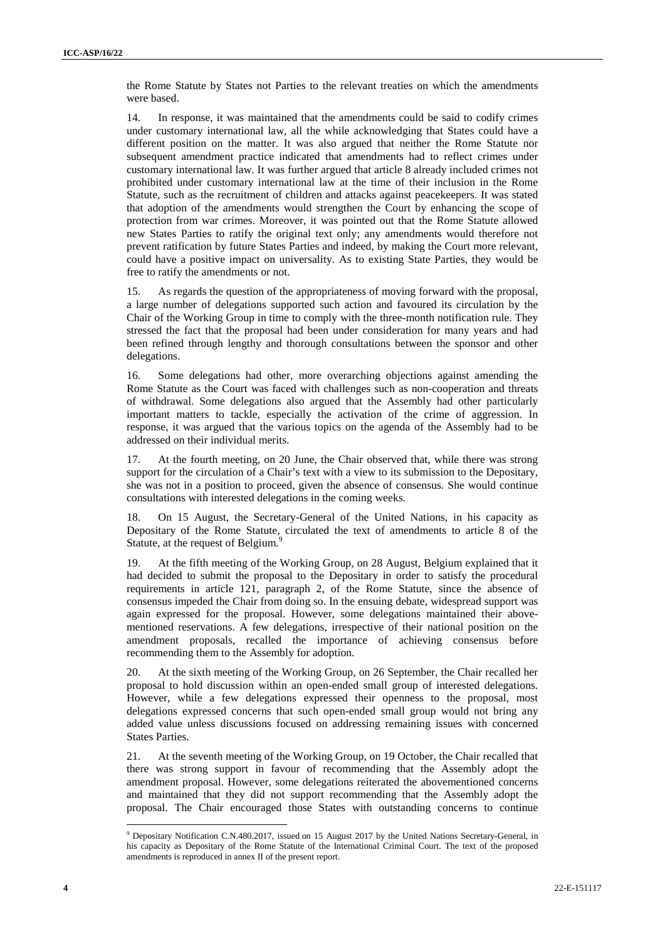the Rome Statute by States not Parties to the relevant treaties on which the amendments were based.

14. In response, it was maintained that the amendments could be said to codify crimes under customary international law, all the while acknowledging that States could have a different position on the matter. It was also argued that neither the Rome Statute nor subsequent amendment practice indicated that amendments had to reflect crimes under customary international law. It was further argued that article 8 already included crimes not prohibited under customary international law at the time of their inclusion in the Rome Statute, such as the recruitment of children and attacks against peacekeepers. It was stated that adoption of the amendments would strengthen the Court by enhancing the scope of protection from war crimes. Moreover, it was pointed out that the Rome Statute allowed new States Parties to ratify the original text only; any amendments would therefore not prevent ratification by future States Parties and indeed, by making the Court more relevant, could have a positive impact on universality. As to existing State Parties, they would be free to ratify the amendments or not.

15. As regards the question of the appropriateness of moving forward with the proposal, a large number of delegations supported such action and favoured its circulation by the Chair of the Working Group in time to comply with the three-month notification rule. They stressed the fact that the proposal had been under consideration for many years and had been refined through lengthy and thorough consultations between the sponsor and other delegations.

16. Some delegations had other, more overarching objections against amending the Rome Statute as the Court was faced with challenges such as non-cooperation and threats of withdrawal. Some delegations also argued that the Assembly had other particularly important matters to tackle, especially the activation of the crime of aggression. In response, it was argued that the various topics on the agenda of the Assembly had to be addressed on their individual merits.

17. At the fourth meeting, on 20 June, the Chair observed that, while there was strong support for the circulation of a Chair's text with a view to its submission to the Depositary, she was not in a position to proceed, given the absence of consensus. She would continue consultations with interested delegations in the coming weeks.

18. On 15 August, the Secretary-General of the United Nations, in his capacity as Depositary of the Rome Statute, circulated the text of amendments to article 8 of the Statute, at the request of Belgium.<sup>9</sup>

19. At the fifth meeting of the Working Group, on 28 August, Belgium explained that it had decided to submit the proposal to the Depositary in order to satisfy the procedural requirements in article 121, paragraph 2, of the Rome Statute, since the absence of consensus impeded the Chair from doing so. In the ensuing debate, widespread support was again expressed for the proposal. However, some delegations maintained their above mentioned reservations. A few delegations, irrespective of their national position on the amendment proposals, recalled the importance of achieving consensus before recommending them to the Assembly for adoption.

20. At the sixth meeting of the Working Group, on 26 September, the Chair recalled her proposal to hold discussion within an open-ended small group of interested delegations. However, while a few delegations expressed their openness to the proposal, most delegations expressed concerns that such open-ended small group would not bring any added value unless discussions focused on addressing remaining issues with concerned States Parties.

21. At the seventh meeting of the Working Group, on 19 October, the Chair recalled that there was strong support in favour of recommending that the Assembly adopt the amendment proposal. However, some delegations reiterated the abovementioned concerns and maintained that they did not support recommending that the Assembly adopt the proposal. The Chair encouraged those States with outstanding concerns to continue

<sup>&</sup>lt;sup>9</sup> Depositary Notification C.N.480.2017, issued on 15 August 2017 by the United Nations Secretary-General, in his capacity as Depositary of the Rome Statute of the International Criminal Court. The text of the proposed amendments is reproduced in annex II of the present report.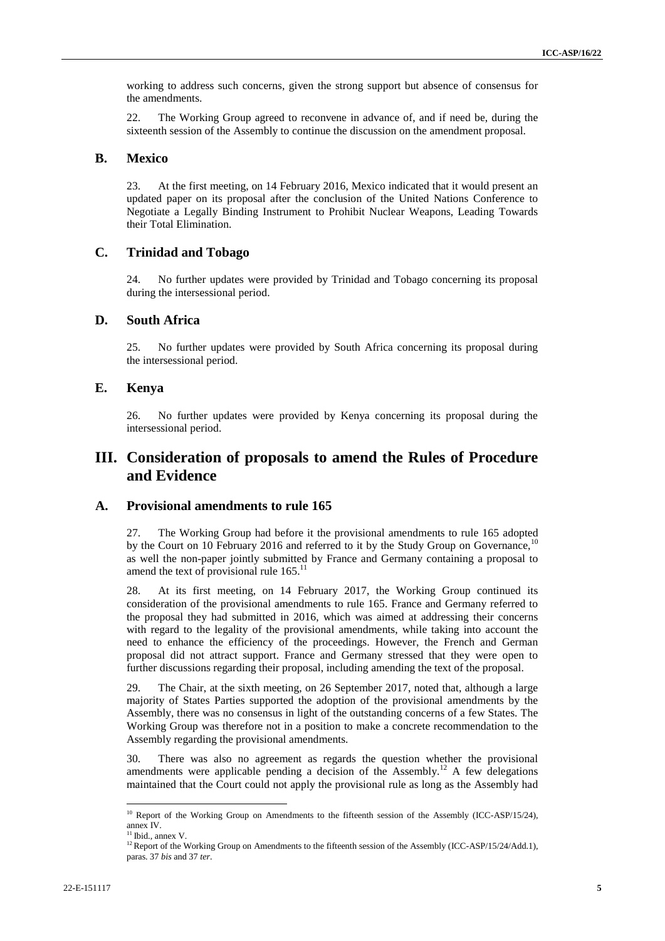working to address such concerns, given the strong support but absence of consensus for the amendments.

22. The Working Group agreed to reconvene in advance of, and if need be, during the sixteenth session of the Assembly to continue the discussion on the amendment proposal.

#### **B. Mexico**

23. At the first meeting, on 14 February 2016, Mexico indicated that it would present an updated paper on its proposal after the conclusion of the United Nations Conference to Negotiate a Legally Binding Instrument to Prohibit Nuclear Weapons, Leading Towards their Total Elimination.

### **C. Trinidad and Tobago**

24. No further updates were provided by Trinidad and Tobago concerning its proposal during the intersessional period.

### **D. South Africa**

25. No further updates were provided by South Africa concerning its proposal during the intersessional period.

### **E. Kenya**

26. No further updates were provided by Kenya concerning its proposal during the intersessional period.

## **III. Consideration of proposals to amend the Rules of Procedure and Evidence**

### **A. Provisional amendments to rule 165**

27. The Working Group had before it the provisional amendments to rule 165 adopted by the Court on 10 February 2016 and referred to it by the Study Group on Governance.<sup>10</sup> as well the non-paper jointly submitted by France and Germany containing a proposal to amend the text of provisional rule  $165$ .<sup>11</sup>

28. At its first meeting, on 14 February 2017, the Working Group continued its consideration of the provisional amendments to rule 165. France and Germany referred to the proposal they had submitted in 2016, which was aimed at addressing their concerns with regard to the legality of the provisional amendments, while taking into account the need to enhance the efficiency of the proceedings. However, the French and German proposal did not attract support. France and Germany stressed that they were open to further discussions regarding their proposal, including amending the text of the proposal.

29. The Chair, at the sixth meeting, on 26 September 2017, noted that, although a large majority of States Parties supported the adoption of the provisional amendments by the Assembly, there was no consensus in light of the outstanding concerns of a few States. The Working Group was therefore not in a position to make a concrete recommendation to the Assembly regarding the provisional amendments.

30. There was also no agreement as regards the question whether the provisional amendments were applicable pending a decision of the Assembly.<sup>12</sup> A few delegations maintained that the Court could not apply the provisional rule as long as the Assembly had

<sup>&</sup>lt;sup>10</sup> Report of the Working Group on Amendments to the fifteenth session of the Assembly (ICC-ASP/15/24), annex IV.

 $11$  Ibid., annex V.

<sup>&</sup>lt;sup>12</sup> Report of the Working Group on Amendments to the fifteenth session of the Assembly (ICC-ASP/15/24/Add.1), paras. 37 *bis* and 37 *ter*.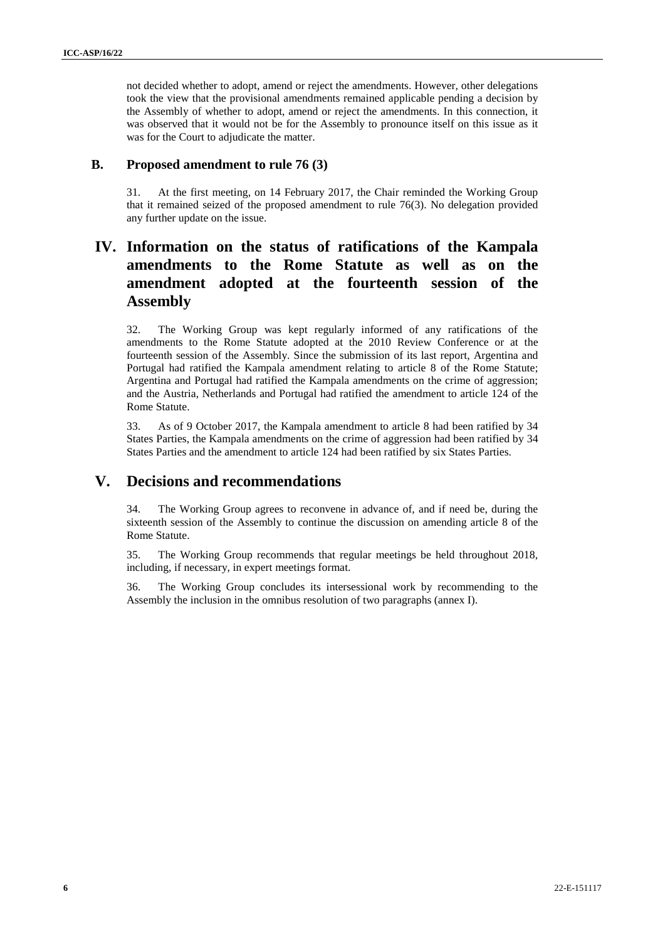not decided whether to adopt, amend or reject the amendments. However, other delegations took the view that the provisional amendments remained applicable pending a decision by the Assembly of whether to adopt, amend or reject the amendments. In this connection, it was observed that it would not be for the Assembly to pronounce itself on this issue as it was for the Court to adjudicate the matter.

### **B. Proposed amendment to rule 76 (3)**

31. At the first meeting, on 14 February 2017, the Chair reminded the Working Group that it remained seized of the proposed amendment to rule 76(3). No delegation provided any further update on the issue.

# **IV. Information on the status of ratifications of the Kampala amendments to the Rome Statute as well as on the amendment adopted at the fourteenth session of the Assembly**

32. The Working Group was kept regularly informed of any ratifications of the amendments to the Rome Statute adopted at the 2010 Review Conference or at the fourteenth session of the Assembly. Since the submission of its last report, Argentina and Portugal had ratified the Kampala amendment relating to article 8 of the Rome Statute; Argentina and Portugal had ratified the Kampala amendments on the crime of aggression; and the Austria, Netherlands and Portugal had ratified the amendment to article 124 of the Rome Statute.

33. As of 9 October 2017, the Kampala amendment to article 8 had been ratified by 34 States Parties, the Kampala amendments on the crime of aggression had been ratified by 34 States Parties and the amendment to article 124 had been ratified by six States Parties.

## **V. Decisions and recommendations**

34. The Working Group agrees to reconvene in advance of, and if need be, during the sixteenth session of the Assembly to continue the discussion on amending article 8 of the Rome Statute.

35. The Working Group recommends that regular meetings be held throughout 2018, including, if necessary, in expert meetings format.

36. The Working Group concludes its intersessional work by recommending to the Assembly the inclusion in the omnibus resolution of two paragraphs (annex I).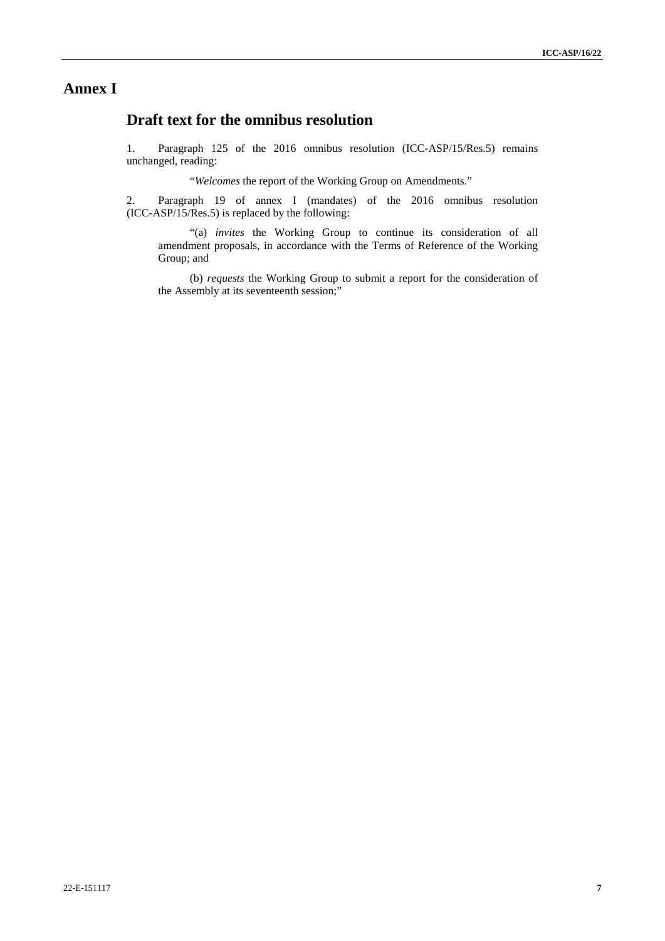## **Annex I**

# **Draft text for the omnibus resolution**

1. Paragraph 125 of the 2016 omnibus resolution (ICC-ASP/15/Res.5) remains unchanged, reading:

"*Welcomes* the report of the Working Group on Amendments."

2. Paragraph 19 of annex I (mandates) of the 2016 omnibus resolution (ICC-ASP/15/Res.5) is replaced by the following:

"(a) *invites* the Working Group to continue its consideration of all amendment proposals, in accordance with the Terms of Reference of the Working Group; and

(b) *requests* the Working Group to submit a report for the consideration of the Assembly at its seventeenth session;"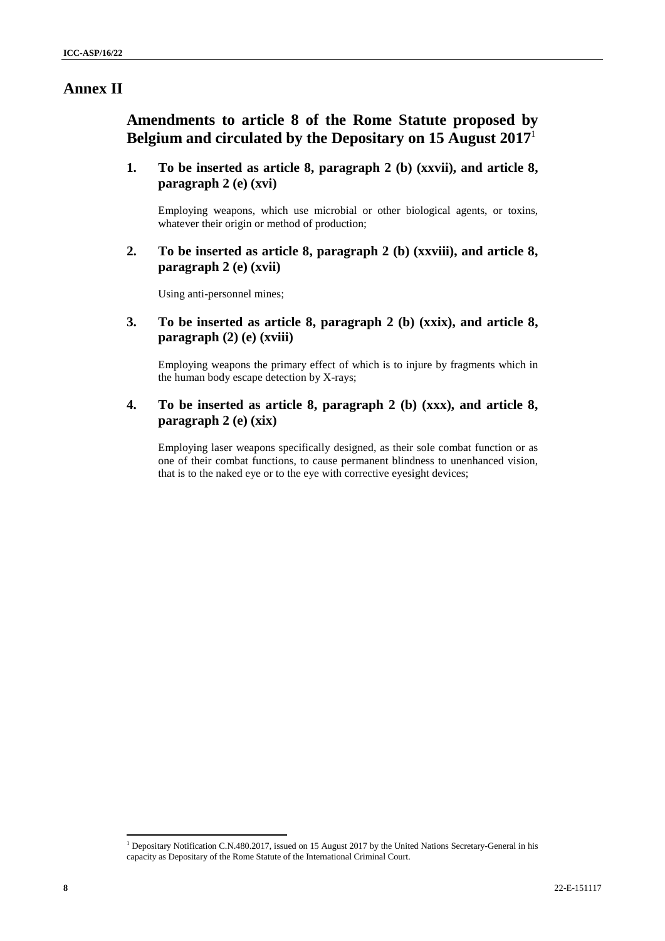### **Annex II**

**Amendments to article 8 of the Rome Statute proposed by Belgium and circulated by the Depositary on 15 August 2017**<sup>1</sup>

**1. To be inserted as article 8, paragraph 2 (b) (xxvii), and article 8, paragraph 2 (e) (xvi)**

Employing weapons, which use microbial or other biological agents, or toxins, whatever their origin or method of production;

**2. To be inserted as article 8, paragraph 2 (b) (xxviii), and article 8, paragraph 2 (e) (xvii)**

Using anti-personnel mines;

**3. To be inserted as article 8, paragraph 2 (b) (xxix), and article 8, paragraph (2) (e) (xviii)**

Employing weapons the primary effect of which is to injure by fragments which in the human body escape detection by X-rays;

**4. To be inserted as article 8, paragraph 2 (b) (xxx), and article 8, paragraph 2 (e) (xix)**

Employing laser weapons specifically designed, as their sole combat function or as one of their combat functions, to cause permanent blindness to unenhanced vision, that is to the naked eye or to the eye with corrective eyesight devices;

<sup>&</sup>lt;sup>1</sup> Depositary Notification C.N.480.2017, issued on 15 August 2017 by the United Nations Secretary-General in his capacity as Depositary of the Rome Statute of the International Criminal Court.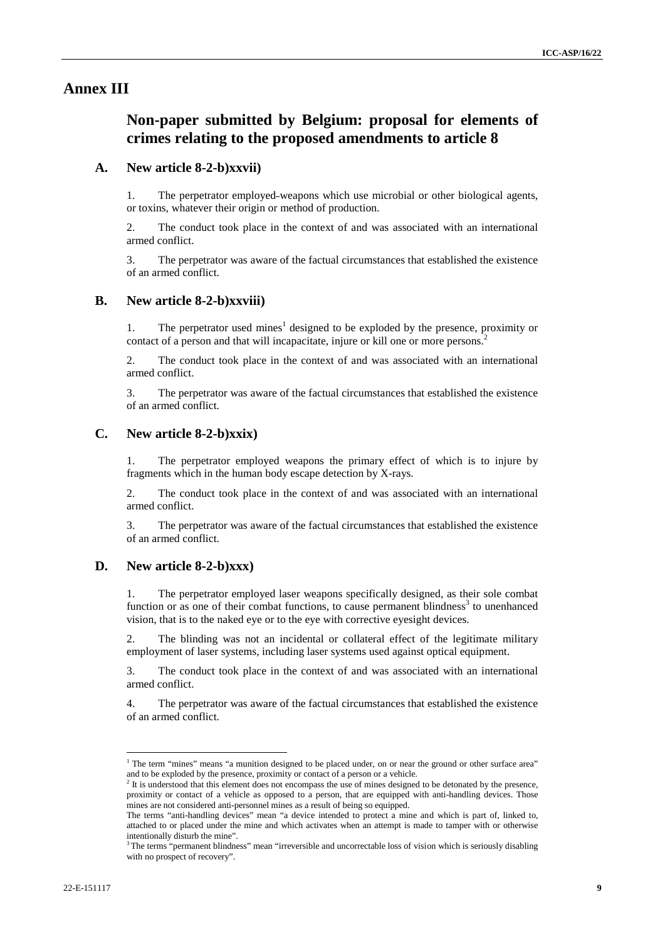### **Annex III**

# **Non-paper submitted by Belgium: proposal for elements of crimes relating to the proposed amendments to article 8**

#### **A. New article 8-2-b)xxvii)**

1. The perpetrator employed weapons which use microbial or other biological agents, or toxins, whatever their origin or method of production.

2. The conduct took place in the context of and was associated with an international armed conflict.

3. The perpetrator was aware of the factual circumstances that established the existence of an armed conflict.

#### **B. New article 8-2-b)xxviii)**

1. The perpetrator used mines<sup>1</sup> designed to be exploded by the presence, proximity or contact of a person and that will incapacitate, injure or kill one or more persons.<sup>2</sup>

2. The conduct took place in the context of and was associated with an international armed conflict.

3. The perpetrator was aware of the factual circumstances that established the existence of an armed conflict.

### **C. New article 8-2-b)xxix)**

1. The perpetrator employed weapons the primary effect of which is to injure by fragments which in the human body escape detection by X-rays.

2. The conduct took place in the context of and was associated with an international armed conflict.

3. The perpetrator was aware of the factual circumstances that established the existence of an armed conflict.

### **D. New article 8-2-b)xxx)**

1. The perpetrator employed laser weapons specifically designed, as their sole combat function or as one of their combat functions, to cause permanent blindness<sup>3</sup> to unenhanced vision, that is to the naked eye or to the eye with corrective eyesight devices.

2. The blinding was not an incidental or collateral effect of the legitimate military employment of laser systems, including laser systems used against optical equipment.

3. The conduct took place in the context of and was associated with an international armed conflict.

4. The perpetrator was aware of the factual circumstances that established the existence of an armed conflict.

<sup>&</sup>lt;sup>1</sup> The term "mines" means "a munition designed to be placed under, on or near the ground or other surface area" and to be exploded by the presence, proximity or contact of a person or a vehicle.

<sup>&</sup>lt;sup>2</sup> It is understood that this element does not encompass the use of mines designed to be detonated by the presence, proximity or contact of a vehicle as opposed to a person, that are equipped with anti-handling devices. Those mines are not considered anti-personnel mines as a result of being so equipped.

The terms "anti-handling devices" mean "a device intended to protect a mine and which is part of, linked to, attached to or placed under the mine and which activates when an attempt is made to tamper with or otherwise intentionally disturb the mine".

 $3$  The terms "permanent blindness" mean "irreversible and uncorrectable loss of vision which is seriously disabling with no prospect of recovery".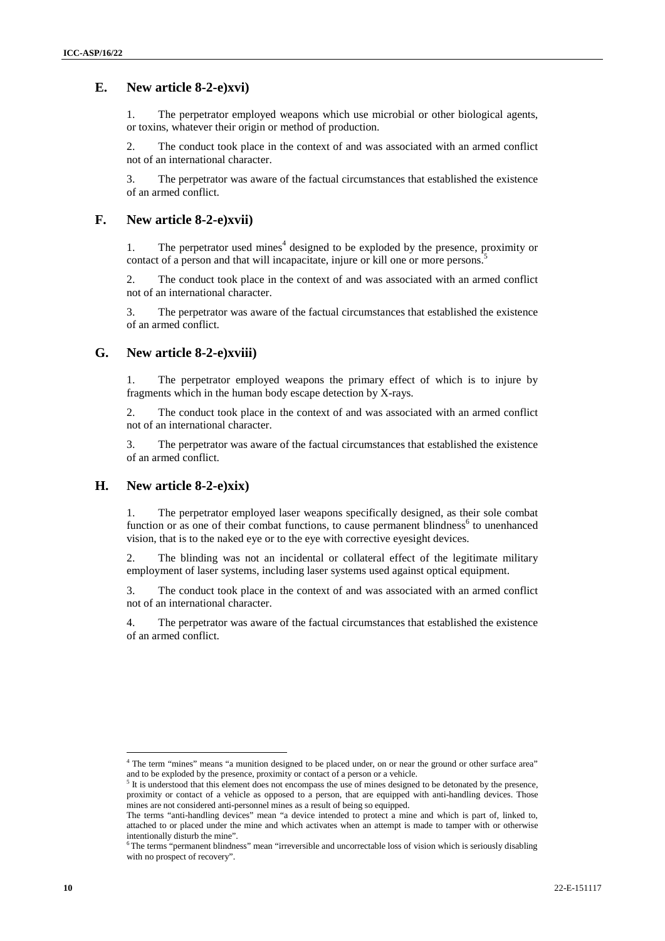### **E. New article 8-2-e)xvi)**

1. The perpetrator employed weapons which use microbial or other biological agents, or toxins, whatever their origin or method of production.

2. The conduct took place in the context of and was associated with an armed conflict not of an international character.

3. The perpetrator was aware of the factual circumstances that established the existence of an armed conflict.

### **F. New article 8-2-e)xvii)**

1. The perpetrator used mines<sup> $4$ </sup> designed to be exploded by the presence, proximity or contact of a person and that will incapacitate, injure or kill one or more persons.<sup>5</sup>

2. The conduct took place in the context of and was associated with an armed conflict not of an international character.

3. The perpetrator was aware of the factual circumstances that established the existence of an armed conflict.

### **G. New article 8-2-e)xviii)**

1. The perpetrator employed weapons the primary effect of which is to injure by fragments which in the human body escape detection by X-rays.

2. The conduct took place in the context of and was associated with an armed conflict not of an international character.

3. The perpetrator was aware of the factual circumstances that established the existence of an armed conflict.

### **H. New article 8-2-e)xix)**

1. The perpetrator employed laser weapons specifically designed, as their sole combat function or as one of their combat functions, to cause permanent blindness<sup>6</sup> to unenhanced vision, that is to the naked eye or to the eye with corrective eyesight devices.

2. The blinding was not an incidental or collateral effect of the legitimate military employment of laser systems, including laser systems used against optical equipment.

3. The conduct took place in the context of and was associated with an armed conflict not of an international character.

4. The perpetrator was aware of the factual circumstances that established the existence of an armed conflict.

<sup>&</sup>lt;sup>4</sup> The term "mines" means "a munition designed to be placed under, on or near the ground or other surface area" and to be exploded by the presence, proximity or contact of a person or a vehicle.

It is understood that this element does not encompass the use of mines designed to be detonated by the presence, proximity or contact of a vehicle as opposed to a person, that are equipped with anti-handling devices. Those mines are not considered anti-personnel mines as a result of being so equipped.

The terms "anti-handling devices" mean "a device intended to protect a mine and which is part of, linked to, attached to or placed under the mine and which activates when an attempt is made to tamper with or otherwise intentionally disturb the mine".

 $6$ The terms "permanent blindness" mean "irreversible and uncorrectable loss of vision which is seriously disabling with no prospect of recovery".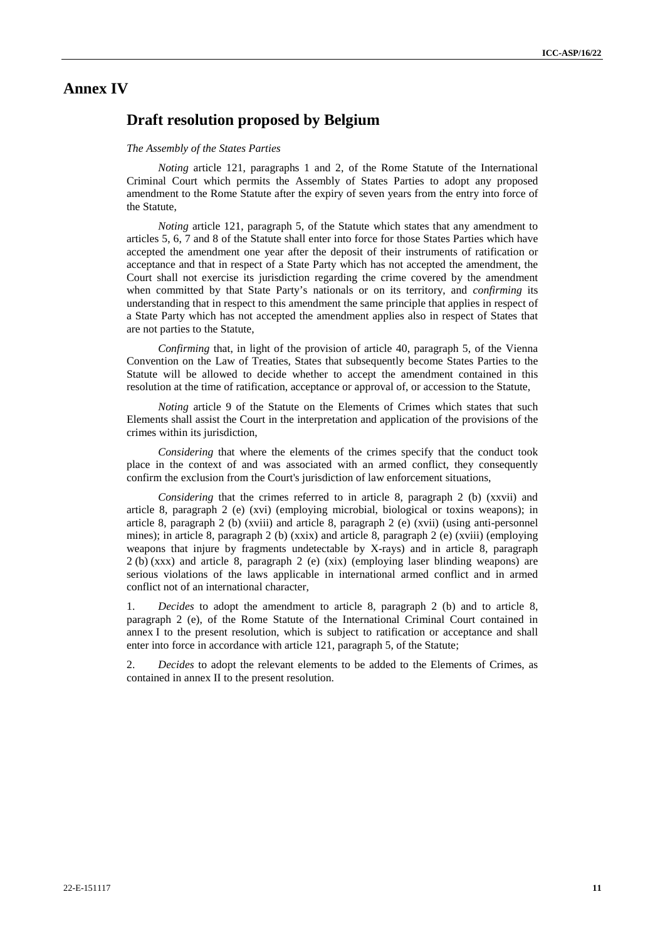# **Annex IV**

### **Draft resolution proposed by Belgium**

#### *The Assembly of the States Parties*

*Noting* article 121, paragraphs 1 and 2, of the Rome Statute of the International Criminal Court which permits the Assembly of States Parties to adopt any proposed amendment to the Rome Statute after the expiry of seven years from the entry into force of the Statute,

*Noting* article 121, paragraph 5, of the Statute which states that any amendment to articles 5, 6, 7 and 8 of the Statute shall enter into force for those States Parties which have accepted the amendment one year after the deposit of their instruments of ratification or acceptance and that in respect of a State Party which has not accepted the amendment, the Court shall not exercise its jurisdiction regarding the crime covered by the amendment when committed by that State Party's nationals or on its territory, and *confirming* its understanding that in respect to this amendment the same principle that applies in respect of a State Party which has not accepted the amendment applies also in respect of States that are not parties to the Statute,

*Confirming* that, in light of the provision of article 40, paragraph 5, of the Vienna Convention on the Law of Treaties, States that subsequently become States Parties to the Statute will be allowed to decide whether to accept the amendment contained in this resolution at the time of ratification, acceptance or approval of, or accession to the Statute,

*Noting* article 9 of the Statute on the Elements of Crimes which states that such Elements shall assist the Court in the interpretation and application of the provisions of the crimes within its jurisdiction,

*Considering* that where the elements of the crimes specify that the conduct took place in the context of and was associated with an armed conflict, they consequently confirm the exclusion from the Court's jurisdiction of law enforcement situations,

*Considering* that the crimes referred to in article 8, paragraph 2 (b) (xxvii) and article 8, paragraph 2 (e) (xvi) (employing microbial, biological or toxins weapons); in article 8, paragraph 2 (b) (xviii) and article 8, paragraph 2 (e) (xvii) (using anti-personnel mines); in article 8, paragraph 2 (b) (xxix) and article 8, paragraph 2 (e) (xviii) (employing weapons that injure by fragments undetectable by X-rays) and in article 8, paragraph 2 (b) (xxx) and article 8, paragraph 2 (e) (xix) (employing laser blinding weapons) are serious violations of the laws applicable in international armed conflict and in armed conflict not of an international character,

1. *Decides* to adopt the amendment to article 8, paragraph 2 (b) and to article 8, paragraph 2 (e), of the Rome Statute of the International Criminal Court contained in annex I to the present resolution, which is subject to ratification or acceptance and shall enter into force in accordance with article 121, paragraph 5, of the Statute;

2. *Decides* to adopt the relevant elements to be added to the Elements of Crimes, as contained in annex II to the present resolution.